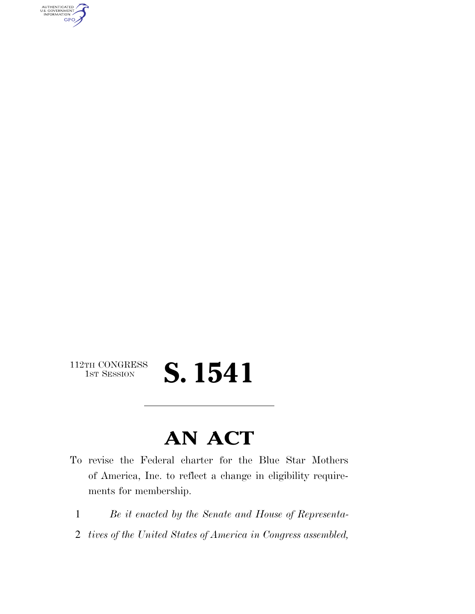

## $\begin{array}{c} \textbf{112TH CONGRESS} \\ \textbf{1ST SESION} \end{array}$ **S. 1541**

## **AN ACT**

- To revise the Federal charter for the Blue Star Mothers of America, Inc. to reflect a change in eligibility requirements for membership.
	- 1 *Be it enacted by the Senate and House of Representa-*
	- 2 *tives of the United States of America in Congress assembled,*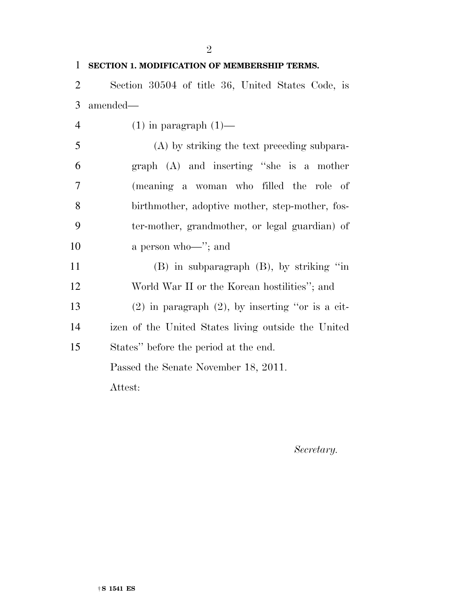|                | $\overline{2}$                                        |
|----------------|-------------------------------------------------------|
| 1              | SECTION 1. MODIFICATION OF MEMBERSHIP TERMS.          |
| $\overline{2}$ | Section 30504 of title 36, United States Code, is     |
| 3              | amended—                                              |
| $\overline{4}$ | $(1)$ in paragraph $(1)$ —                            |
| 5              | (A) by striking the text preceding subpara-           |
| 6              | graph (A) and inserting "she is a mother              |
| 7              | (meaning a woman who filled the role of               |
| 8              | birthmother, adoptive mother, step-mother, fos-       |
| 9              | ter-mother, grandmother, or legal guardian) of        |
| 10             | a person who $\rightarrow$ "; and                     |
| 11             | $(B)$ in subparagraph $(B)$ , by striking "in         |
| 12             | World War II or the Korean hostilities"; and          |
| 13             | $(2)$ in paragraph $(2)$ , by inserting "or is a cit- |
| 14             | izen of the United States living outside the United   |
| 15             | States" before the period at the end.                 |
|                | Passed the Senate November 18, 2011.                  |
|                | Attest:                                               |
|                |                                                       |

*Secretary.*